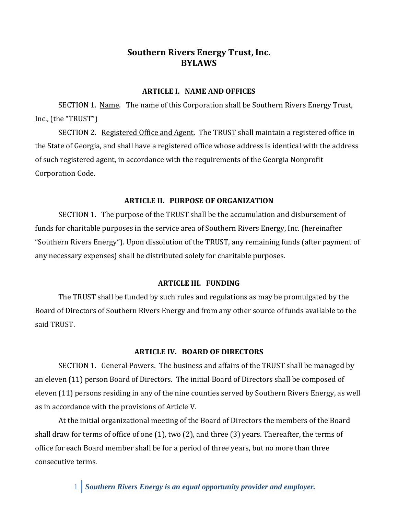# **Southern Rivers Energy Trust, Inc. BYLAWS**

### **ARTICLE I. NAME AND OFFICES**

SECTION 1. Name. The name of this Corporation shall be Southern Rivers Energy Trust, Inc., (the "TRUST")

SECTION 2. Registered Office and Agent. The TRUST shall maintain a registered office in the State of Georgia, and shall have a registered office whose address is identical with the address of such registered agent, in accordance with the requirements of the Georgia Nonprofit Corporation Code.

### **ARTICLE II. PURPOSE OF ORGANIZATION**

SECTION 1. The purpose of the TRUST shall be the accumulation and disbursement of funds for charitable purposes in the service area of Southern Rivers Energy, Inc. (hereinafter "Southern Rivers Energy"). Upon dissolution of the TRUST, any remaining funds (after payment of any necessary expenses) shall be distributed solely for charitable purposes.

### **ARTICLE III. FUNDING**

The TRUST shall be funded by such rules and regulations as may be promulgated by the Board of Directors of Southern Rivers Energy and from any other source of funds available to the said TRUST.

### **ARTICLE IV. BOARD OF DIRECTORS**

SECTION 1. General Powers. The business and affairs of the TRUST shall be managed by an eleven (11) person Board of Directors. The initial Board of Directors shall be composed of eleven (11) persons residing in any of the nine counties served by Southern Rivers Energy, as well as in accordance with the provisions of Article V.

At the initial organizational meeting of the Board of Directors the members of the Board shall draw for terms of office of one (1), two (2), and three (3) years. Thereafter, the terms of office for each Board member shall be for a period of three years, but no more than three consecutive terms.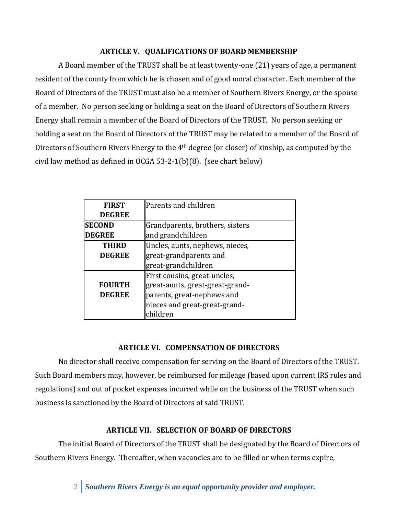## **ARTICLE V. QUALIFICATIONS OF BOARD MEMBERSHIP**

A Board member of the TRUST shall be at least twenty-one (21) years of age, a permanent resident of the county from which he is chosen and of good moral character. Each member of the Board of Directors of the TRUST must also be a member of Southern Rivers Energy, or the spouse of a member. No person seeking or holding a seat on the Board of Directors of Southern Rivers Energy shall remain a member of the Board of Directors of the TRUST. No person seeking or holding a seat on the Board of Directors of the TRUST may be related to a member of the Board of Directors of Southern Rivers Energy to the 4th degree (or closer) of kinship, as computed by the civil law method as defined in OCGA 53-2-1(b)(8). (see chart below)

| <b>FIRST</b>  | Parents and children            |
|---------------|---------------------------------|
| <b>DEGREE</b> |                                 |
| <b>SECOND</b> | Grandparents, brothers, sisters |
| <b>DEGREE</b> | and grandchildren               |
| <b>THIRD</b>  | Uncles, aunts, nephews, nieces, |
| <b>DEGREE</b> | great-grandparents and          |
|               | great-grandchildren             |
|               | First cousins, great-uncles,    |
| <b>FOURTH</b> | great-aunts, great-great-grand- |
| <b>DEGREE</b> | parents, great-nephews and      |
|               | nieces and great-great-grand-   |
|               | children                        |

## **ARTICLE VI. COMPENSATION OF DIRECTORS**

No director shall receive compensation for serving on the Board of Directors of the TRUST. Such Board members may, however, be reimbursed for mileage (based upon current IRS rules and regulations) and out of pocket expenses incurred while on the business of the TRUST when such business is sanctioned by the Board of Directors of said TRUST.

## **ARTICLE VII. SELECTION OF BOARD OF DIRECTORS**

The initial Board of Directors of the TRUST shall be designated by the Board of Directors of Southern Rivers Energy. Thereafter, when vacancies are to be filled or when terms expire,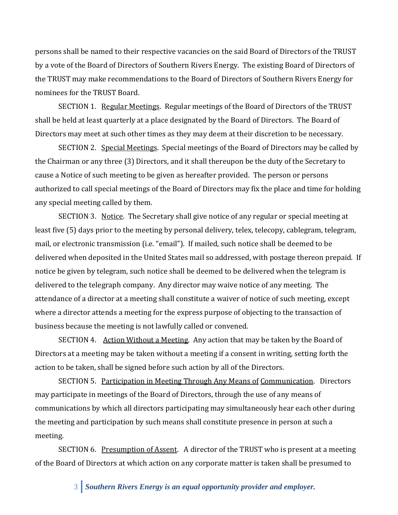persons shall be named to their respective vacancies on the said Board of Directors of the TRUST by a vote of the Board of Directors of Southern Rivers Energy. The existing Board of Directors of the TRUST may make recommendations to the Board of Directors of Southern Rivers Energy for nominees for the TRUST Board.

SECTION 1. Regular Meetings. Regular meetings of the Board of Directors of the TRUST shall be held at least quarterly at a place designated by the Board of Directors. The Board of Directors may meet at such other times as they may deem at their discretion to be necessary.

SECTION 2. Special Meetings. Special meetings of the Board of Directors may be called by the Chairman or any three (3) Directors, and it shall thereupon be the duty of the Secretary to cause a Notice of such meeting to be given as hereafter provided. The person or persons authorized to call special meetings of the Board of Directors may fix the place and time for holding any special meeting called by them.

SECTION 3. Notice. The Secretary shall give notice of any regular or special meeting at least five (5) days prior to the meeting by personal delivery, telex, telecopy, cablegram, telegram, mail, or electronic transmission (i.e. "email"). If mailed, such notice shall be deemed to be delivered when deposited in the United States mail so addressed, with postage thereon prepaid. If notice be given by telegram, such notice shall be deemed to be delivered when the telegram is delivered to the telegraph company. Any director may waive notice of any meeting. The attendance of a director at a meeting shall constitute a waiver of notice of such meeting, except where a director attends a meeting for the express purpose of objecting to the transaction of business because the meeting is not lawfully called or convened.

SECTION 4. Action Without a Meeting. Any action that may be taken by the Board of Directors at a meeting may be taken without a meeting if a consent in writing, setting forth the action to be taken, shall be signed before such action by all of the Directors.

SECTION 5. Participation in Meeting Through Any Means of Communication. Directors may participate in meetings of the Board of Directors, through the use of any means of communications by which all directors participating may simultaneously hear each other during the meeting and participation by such means shall constitute presence in person at such a meeting.

SECTION 6. Presumption of Assent. A director of the TRUST who is present at a meeting of the Board of Directors at which action on any corporate matter is taken shall be presumed to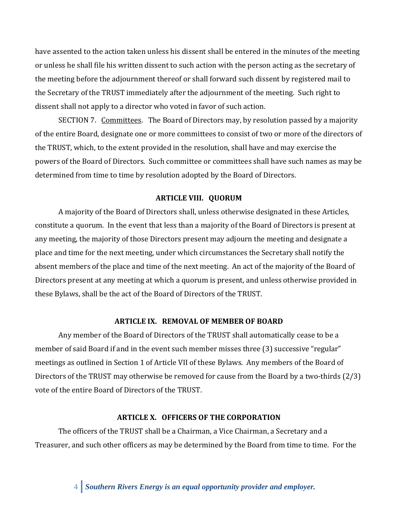have assented to the action taken unless his dissent shall be entered in the minutes of the meeting or unless he shall file his written dissent to such action with the person acting as the secretary of the meeting before the adjournment thereof or shall forward such dissent by registered mail to the Secretary of the TRUST immediately after the adjournment of the meeting. Such right to dissent shall not apply to a director who voted in favor of such action.

SECTION 7. Committees. The Board of Directors may, by resolution passed by a majority of the entire Board, designate one or more committees to consist of two or more of the directors of the TRUST, which, to the extent provided in the resolution, shall have and may exercise the powers of the Board of Directors. Such committee or committees shall have such names as may be determined from time to time by resolution adopted by the Board of Directors.

### **ARTICLE VIII. QUORUM**

A majority of the Board of Directors shall, unless otherwise designated in these Articles, constitute a quorum. In the event that less than a majority of the Board of Directors is present at any meeting, the majority of those Directors present may adjourn the meeting and designate a place and time for the next meeting, under which circumstances the Secretary shall notify the absent members of the place and time of the next meeting. An act of the majority of the Board of Directors present at any meeting at which a quorum is present, and unless otherwise provided in these Bylaws, shall be the act of the Board of Directors of the TRUST.

#### **ARTICLE IX. REMOVAL OF MEMBER OF BOARD**

Any member of the Board of Directors of the TRUST shall automatically cease to be a member of said Board if and in the event such member misses three (3) successive "regular" meetings as outlined in Section 1 of Article VII of these Bylaws. Any members of the Board of Directors of the TRUST may otherwise be removed for cause from the Board by a two-thirds (2/3) vote of the entire Board of Directors of the TRUST.

#### **ARTICLE X. OFFICERS OF THE CORPORATION**

The officers of the TRUST shall be a Chairman, a Vice Chairman, a Secretary and a Treasurer, and such other officers as may be determined by the Board from time to time. For the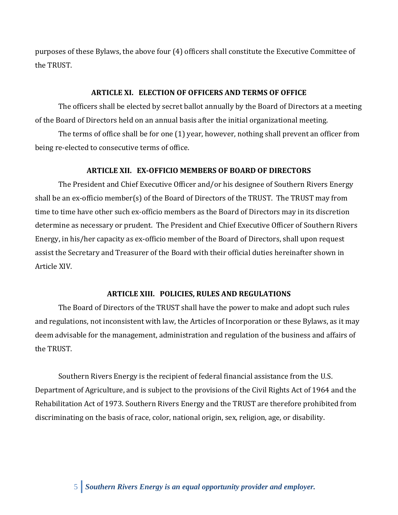purposes of these Bylaws, the above four (4) officers shall constitute the Executive Committee of the TRUST.

### **ARTICLE XI. ELECTION OF OFFICERS AND TERMS OF OFFICE**

The officers shall be elected by secret ballot annually by the Board of Directors at a meeting of the Board of Directors held on an annual basis after the initial organizational meeting.

The terms of office shall be for one (1) year, however, nothing shall prevent an officer from being re-elected to consecutive terms of office.

#### **ARTICLE XII. EX-OFFICIO MEMBERS OF BOARD OF DIRECTORS**

The President and Chief Executive Officer and/or his designee of Southern Rivers Energy shall be an ex-officio member(s) of the Board of Directors of the TRUST. The TRUST may from time to time have other such ex-officio members as the Board of Directors may in its discretion determine as necessary or prudent. The President and Chief Executive Officer of Southern Rivers Energy, in his/her capacity as ex-officio member of the Board of Directors, shall upon request assist the Secretary and Treasurer of the Board with their official duties hereinafter shown in Article XIV.

#### **ARTICLE XIII. POLICIES, RULES AND REGULATIONS**

The Board of Directors of the TRUST shall have the power to make and adopt such rules and regulations, not inconsistent with law, the Articles of Incorporation or these Bylaws, as it may deem advisable for the management, administration and regulation of the business and affairs of the TRUST.

Southern Rivers Energy is the recipient of federal financial assistance from the U.S. Department of Agriculture, and is subject to the provisions of the Civil Rights Act of 1964 and the Rehabilitation Act of 1973. Southern Rivers Energy and the TRUST are therefore prohibited from discriminating on the basis of race, color, national origin, sex, religion, age, or disability.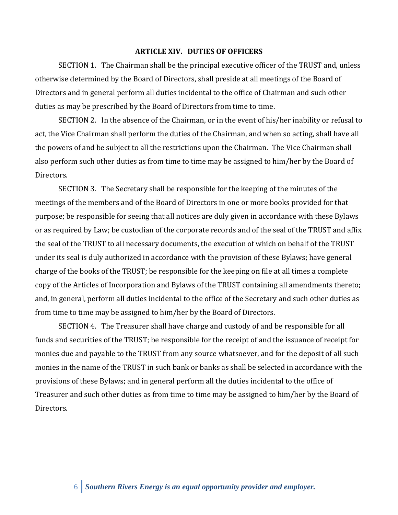### **ARTICLE XIV. DUTIES OF OFFICERS**

SECTION 1. The Chairman shall be the principal executive officer of the TRUST and, unless otherwise determined by the Board of Directors, shall preside at all meetings of the Board of Directors and in general perform all duties incidental to the office of Chairman and such other duties as may be prescribed by the Board of Directors from time to time.

SECTION 2. In the absence of the Chairman, or in the event of his/her inability or refusal to act, the Vice Chairman shall perform the duties of the Chairman, and when so acting, shall have all the powers of and be subject to all the restrictions upon the Chairman. The Vice Chairman shall also perform such other duties as from time to time may be assigned to him/her by the Board of Directors.

SECTION 3. The Secretary shall be responsible for the keeping of the minutes of the meetings of the members and of the Board of Directors in one or more books provided for that purpose; be responsible for seeing that all notices are duly given in accordance with these Bylaws or as required by Law; be custodian of the corporate records and of the seal of the TRUST and affix the seal of the TRUST to all necessary documents, the execution of which on behalf of the TRUST under its seal is duly authorized in accordance with the provision of these Bylaws; have general charge of the books of the TRUST; be responsible for the keeping on file at all times a complete copy of the Articles of Incorporation and Bylaws of the TRUST containing all amendments thereto; and, in general, perform all duties incidental to the office of the Secretary and such other duties as from time to time may be assigned to him/her by the Board of Directors.

SECTION 4. The Treasurer shall have charge and custody of and be responsible for all funds and securities of the TRUST; be responsible for the receipt of and the issuance of receipt for monies due and payable to the TRUST from any source whatsoever, and for the deposit of all such monies in the name of the TRUST in such bank or banks as shall be selected in accordance with the provisions of these Bylaws; and in general perform all the duties incidental to the office of Treasurer and such other duties as from time to time may be assigned to him/her by the Board of Directors.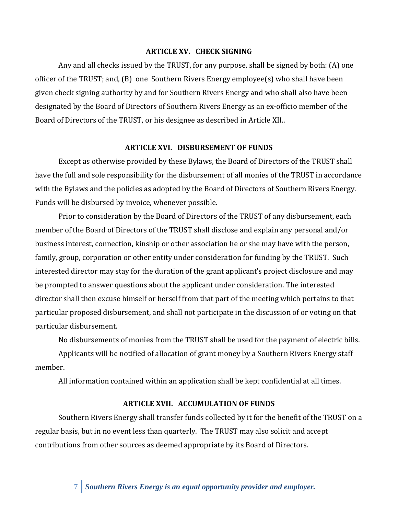### **ARTICLE XV. CHECK SIGNING**

Any and all checks issued by the TRUST, for any purpose, shall be signed by both: (A) one officer of the TRUST; and, (B) one Southern Rivers Energy employee(s) who shall have been given check signing authority by and for Southern Rivers Energy and who shall also have been designated by the Board of Directors of Southern Rivers Energy as an ex-officio member of the Board of Directors of the TRUST, or his designee as described in Article XII..

### **ARTICLE XVI. DISBURSEMENT OF FUNDS**

Except as otherwise provided by these Bylaws, the Board of Directors of the TRUST shall have the full and sole responsibility for the disbursement of all monies of the TRUST in accordance with the Bylaws and the policies as adopted by the Board of Directors of Southern Rivers Energy. Funds will be disbursed by invoice, whenever possible.

Prior to consideration by the Board of Directors of the TRUST of any disbursement, each member of the Board of Directors of the TRUST shall disclose and explain any personal and/or business interest, connection, kinship or other association he or she may have with the person, family, group, corporation or other entity under consideration for funding by the TRUST. Such interested director may stay for the duration of the grant applicant's project disclosure and may be prompted to answer questions about the applicant under consideration. The interested director shall then excuse himself or herself from that part of the meeting which pertains to that particular proposed disbursement, and shall not participate in the discussion of or voting on that particular disbursement.

No disbursements of monies from the TRUST shall be used for the payment of electric bills.

Applicants will be notified of allocation of grant money by a Southern Rivers Energy staff member.

All information contained within an application shall be kept confidential at all times.

### **ARTICLE XVII. ACCUMULATION OF FUNDS**

Southern Rivers Energy shall transfer funds collected by it for the benefit of the TRUST on a regular basis, but in no event less than quarterly. The TRUST may also solicit and accept contributions from other sources as deemed appropriate by its Board of Directors.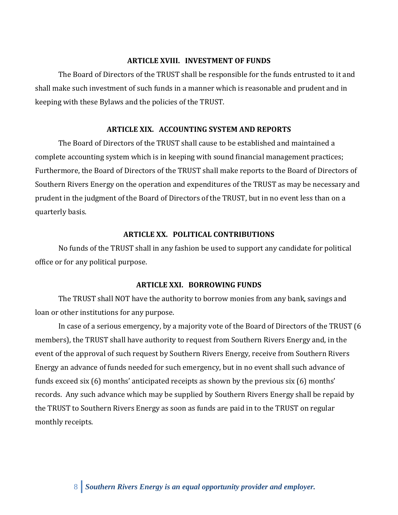### **ARTICLE XVIII. INVESTMENT OF FUNDS**

The Board of Directors of the TRUST shall be responsible for the funds entrusted to it and shall make such investment of such funds in a manner which is reasonable and prudent and in keeping with these Bylaws and the policies of the TRUST.

### **ARTICLE XIX. ACCOUNTING SYSTEM AND REPORTS**

The Board of Directors of the TRUST shall cause to be established and maintained a complete accounting system which is in keeping with sound financial management practices; Furthermore, the Board of Directors of the TRUST shall make reports to the Board of Directors of Southern Rivers Energy on the operation and expenditures of the TRUST as may be necessary and prudent in the judgment of the Board of Directors of the TRUST, but in no event less than on a quarterly basis.

### **ARTICLE XX. POLITICAL CONTRIBUTIONS**

No funds of the TRUST shall in any fashion be used to support any candidate for political office or for any political purpose.

### **ARTICLE XXI. BORROWING FUNDS**

The TRUST shall NOT have the authority to borrow monies from any bank, savings and loan or other institutions for any purpose.

In case of a serious emergency, by a majority vote of the Board of Directors of the TRUST (6 members), the TRUST shall have authority to request from Southern Rivers Energy and, in the event of the approval of such request by Southern Rivers Energy, receive from Southern Rivers Energy an advance of funds needed for such emergency, but in no event shall such advance of funds exceed six (6) months' anticipated receipts as shown by the previous six (6) months' records. Any such advance which may be supplied by Southern Rivers Energy shall be repaid by the TRUST to Southern Rivers Energy as soon as funds are paid in to the TRUST on regular monthly receipts.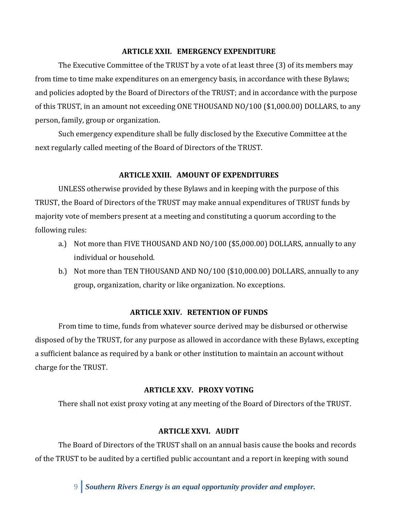### **ARTICLE XXII. EMERGENCY EXPENDITURE**

The Executive Committee of the TRUST by a vote of at least three (3) of its members may from time to time make expenditures on an emergency basis, in accordance with these Bylaws; and policies adopted by the Board of Directors of the TRUST; and in accordance with the purpose of this TRUST, in an amount not exceeding ONE THOUSAND NO/100 (\$1,000.00) DOLLARS, to any person, family, group or organization.

Such emergency expenditure shall be fully disclosed by the Executive Committee at the next regularly called meeting of the Board of Directors of the TRUST.

### **ARTICLE XXIII. AMOUNT OF EXPENDITURES**

UNLESS otherwise provided by these Bylaws and in keeping with the purpose of this TRUST, the Board of Directors of the TRUST may make annual expenditures of TRUST funds by majority vote of members present at a meeting and constituting a quorum according to the following rules:

- a.) Not more than FIVE THOUSAND AND NO/100 (\$5,000.00) DOLLARS, annually to any individual or household.
- b.) Not more than TEN THOUSAND AND NO/100 (\$10,000.00) DOLLARS, annually to any group, organization, charity or like organization. No exceptions.

## **ARTICLE XXIV. RETENTION OF FUNDS**

From time to time, funds from whatever source derived may be disbursed or otherwise disposed of by the TRUST, for any purpose as allowed in accordance with these Bylaws, excepting a sufficient balance as required by a bank or other institution to maintain an account without charge for the TRUST.

### **ARTICLE XXV. PROXY VOTING**

There shall not exist proxy voting at any meeting of the Board of Directors of the TRUST.

### **ARTICLE XXVI. AUDIT**

The Board of Directors of the TRUST shall on an annual basis cause the books and records of the TRUST to be audited by a certified public accountant and a report in keeping with sound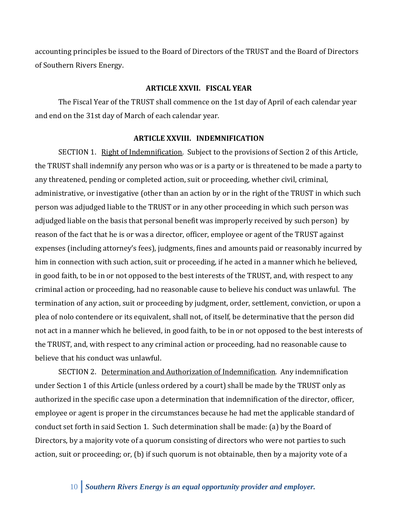accounting principles be issued to the Board of Directors of the TRUST and the Board of Directors of Southern Rivers Energy.

#### **ARTICLE XXVII. FISCAL YEAR**

The Fiscal Year of the TRUST shall commence on the 1st day of April of each calendar year and end on the 31st day of March of each calendar year.

### **ARTICLE XXVIII. INDEMNIFICATION**

SECTION 1. Right of Indemnification. Subject to the provisions of Section 2 of this Article, the TRUST shall indemnify any person who was or is a party or is threatened to be made a party to any threatened, pending or completed action, suit or proceeding, whether civil, criminal, administrative, or investigative (other than an action by or in the right of the TRUST in which such person was adjudged liable to the TRUST or in any other proceeding in which such person was adjudged liable on the basis that personal benefit was improperly received by such person) by reason of the fact that he is or was a director, officer, employee or agent of the TRUST against expenses (including attorney's fees), judgments, fines and amounts paid or reasonably incurred by him in connection with such action, suit or proceeding, if he acted in a manner which he believed, in good faith, to be in or not opposed to the best interests of the TRUST, and, with respect to any criminal action or proceeding, had no reasonable cause to believe his conduct was unlawful. The termination of any action, suit or proceeding by judgment, order, settlement, conviction, or upon a plea of nolo contendere or its equivalent, shall not, of itself, be determinative that the person did not act in a manner which he believed, in good faith, to be in or not opposed to the best interests of the TRUST, and, with respect to any criminal action or proceeding, had no reasonable cause to believe that his conduct was unlawful.

SECTION 2. Determination and Authorization of Indemnification. Any indemnification under Section 1 of this Article (unless ordered by a court) shall be made by the TRUST only as authorized in the specific case upon a determination that indemnification of the director, officer, employee or agent is proper in the circumstances because he had met the applicable standard of conduct set forth in said Section 1. Such determination shall be made: (a) by the Board of Directors, by a majority vote of a quorum consisting of directors who were not parties to such action, suit or proceeding; or, (b) if such quorum is not obtainable, then by a majority vote of a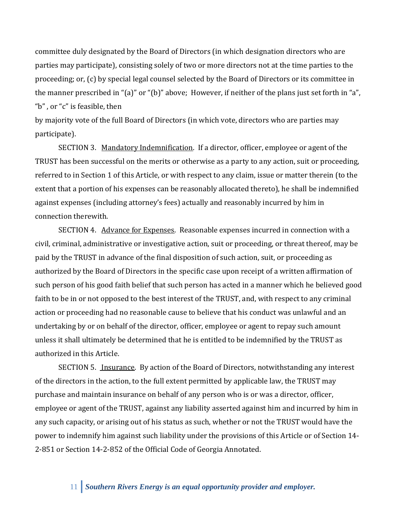committee duly designated by the Board of Directors (in which designation directors who are parties may participate), consisting solely of two or more directors not at the time parties to the proceeding; or, (c) by special legal counsel selected by the Board of Directors or its committee in the manner prescribed in "(a)" or "(b)" above; However, if neither of the plans just set forth in "a", "b" , or "c" is feasible, then

by majority vote of the full Board of Directors (in which vote, directors who are parties may participate).

SECTION 3. Mandatory Indemnification. If a director, officer, employee or agent of the TRUST has been successful on the merits or otherwise as a party to any action, suit or proceeding, referred to in Section 1 of this Article, or with respect to any claim, issue or matter therein (to the extent that a portion of his expenses can be reasonably allocated thereto), he shall be indemnified against expenses (including attorney's fees) actually and reasonably incurred by him in connection therewith.

SECTION 4. Advance for Expenses. Reasonable expenses incurred in connection with a civil, criminal, administrative or investigative action, suit or proceeding, or threat thereof, may be paid by the TRUST in advance of the final disposition of such action, suit, or proceeding as authorized by the Board of Directors in the specific case upon receipt of a written affirmation of such person of his good faith belief that such person has acted in a manner which he believed good faith to be in or not opposed to the best interest of the TRUST, and, with respect to any criminal action or proceeding had no reasonable cause to believe that his conduct was unlawful and an undertaking by or on behalf of the director, officer, employee or agent to repay such amount unless it shall ultimately be determined that he is entitled to be indemnified by the TRUST as authorized in this Article.

SECTION 5. Insurance. By action of the Board of Directors, notwithstanding any interest of the directors in the action, to the full extent permitted by applicable law, the TRUST may purchase and maintain insurance on behalf of any person who is or was a director, officer, employee or agent of the TRUST, against any liability asserted against him and incurred by him in any such capacity, or arising out of his status as such, whether or not the TRUST would have the power to indemnify him against such liability under the provisions of this Article or of Section 14- 2-851 or Section 14-2-852 of the Official Code of Georgia Annotated.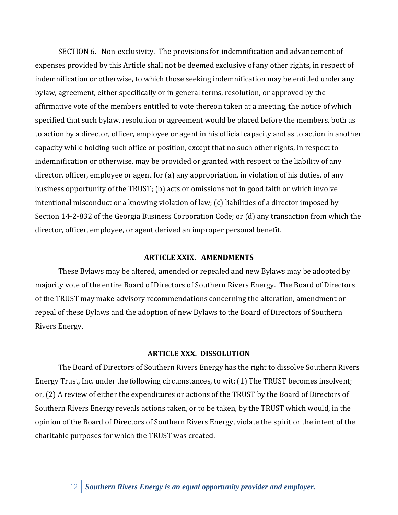SECTION 6. Non-exclusivity. The provisions for indemnification and advancement of expenses provided by this Article shall not be deemed exclusive of any other rights, in respect of indemnification or otherwise, to which those seeking indemnification may be entitled under any bylaw, agreement, either specifically or in general terms, resolution, or approved by the affirmative vote of the members entitled to vote thereon taken at a meeting, the notice of which specified that such bylaw, resolution or agreement would be placed before the members, both as to action by a director, officer, employee or agent in his official capacity and as to action in another capacity while holding such office or position, except that no such other rights, in respect to indemnification or otherwise, may be provided or granted with respect to the liability of any director, officer, employee or agent for (a) any appropriation, in violation of his duties, of any business opportunity of the TRUST; (b) acts or omissions not in good faith or which involve intentional misconduct or a knowing violation of law; (c) liabilities of a director imposed by Section 14-2-832 of the Georgia Business Corporation Code; or (d) any transaction from which the director, officer, employee, or agent derived an improper personal benefit.

### **ARTICLE XXIX. AMENDMENTS**

These Bylaws may be altered, amended or repealed and new Bylaws may be adopted by majority vote of the entire Board of Directors of Southern Rivers Energy. The Board of Directors of the TRUST may make advisory recommendations concerning the alteration, amendment or repeal of these Bylaws and the adoption of new Bylaws to the Board of Directors of Southern Rivers Energy.

### **ARTICLE XXX. DISSOLUTION**

The Board of Directors of Southern Rivers Energy has the right to dissolve Southern Rivers Energy Trust, Inc. under the following circumstances, to wit: (1) The TRUST becomes insolvent; or, (2) A review of either the expenditures or actions of the TRUST by the Board of Directors of Southern Rivers Energy reveals actions taken, or to be taken, by the TRUST which would, in the opinion of the Board of Directors of Southern Rivers Energy, violate the spirit or the intent of the charitable purposes for which the TRUST was created.